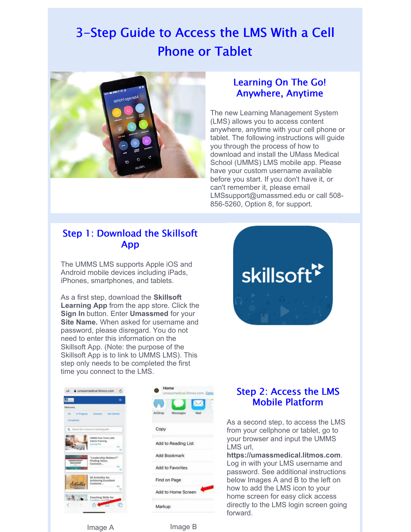# 3-Step Guide to Access the LMS With a Cell Phone or Tablet



#### Learning On The Go! Anywhere, Anytime

The new Learning Management System (LMS) allows you to access content anywhere, anytime with your cell phone or tablet. The following instructions will guide you through the process of how to download and install the UMass Medical School (UMMS) LMS mobile app. Please have your custom username available before you start. If you don't have it, or can't remember it, please email LMSsupport@umassmed.edu or call 508- 856-5260, Option 8, for support.

### Step 1: Download the Skillsoft App

The UMMS LMS supports Apple iOS and Android mobile devices including iPads, iPhones, smartphones, and tablets.

As a first step, download the **Skillsoft Learning App** from the app store. Click the **Sign In** button. Enter **Umassmed** for your **Site Name.** When asked for username and password, please disregard. You do not need to enter this information on the Skillsoft App. (Note: the purpose of the Skillsoft App is to link to UMMS LMS). This step only needs to be completed the first time you connect to the LMS.







### Step 2: Access the LMS Mobile Platform

As a second step, to access the LMS from your cellphone or tablet, go to your browser and input the UMMS LMS url,

**https://umassmedical.litmos.com**. Log in with your LMS username and password. See additional instructions below Images A and B to the left on how to add the LMS icon to your home screen for easy click access directly to the LMS login screen going forward.

Image A **Image B**